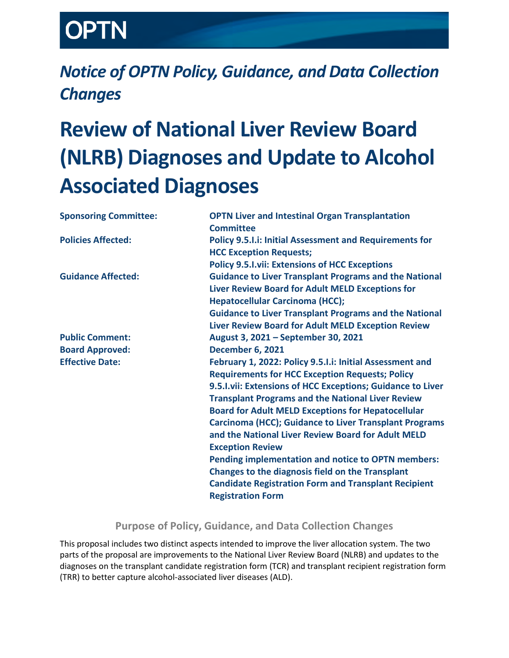# TN

# *Notice of OPTN Policy, Guidance, and Data Collection Changes*

# **Review of National Liver Review Board (NLRB) Diagnoses and Update to Alcohol Associated Diagnoses**

| <b>Sponsoring Committee:</b> | <b>OPTN Liver and Intestinal Organ Transplantation</b><br><b>Committee</b>                                                                     |
|------------------------------|------------------------------------------------------------------------------------------------------------------------------------------------|
| <b>Policies Affected:</b>    | <b>Policy 9.5.1.i: Initial Assessment and Requirements for</b><br><b>HCC Exception Requests;</b>                                               |
|                              | <b>Policy 9.5.I.vii: Extensions of HCC Exceptions</b>                                                                                          |
| <b>Guidance Affected:</b>    | <b>Guidance to Liver Transplant Programs and the National</b>                                                                                  |
|                              | Liver Review Board for Adult MELD Exceptions for<br><b>Hepatocellular Carcinoma (HCC);</b>                                                     |
|                              | <b>Guidance to Liver Transplant Programs and the National</b>                                                                                  |
|                              | Liver Review Board for Adult MELD Exception Review                                                                                             |
| <b>Public Comment:</b>       | August 3, 2021 - September 30, 2021                                                                                                            |
| <b>Board Approved:</b>       | <b>December 6, 2021</b>                                                                                                                        |
| <b>Effective Date:</b>       | February 1, 2022: Policy 9.5.I.i: Initial Assessment and<br><b>Requirements for HCC Exception Requests; Policy</b>                             |
|                              | 9.5.I.vii: Extensions of HCC Exceptions; Guidance to Liver                                                                                     |
|                              | <b>Transplant Programs and the National Liver Review</b>                                                                                       |
|                              | <b>Board for Adult MELD Exceptions for Hepatocellular</b>                                                                                      |
|                              | <b>Carcinoma (HCC); Guidance to Liver Transplant Programs</b><br>and the National Liver Review Board for Adult MELD<br><b>Exception Review</b> |
|                              | Pending implementation and notice to OPTN members:<br>Changes to the diagnosis field on the Transplant                                         |
|                              | <b>Candidate Registration Form and Transplant Recipient</b><br><b>Registration Form</b>                                                        |

## **Purpose of Policy, Guidance, and Data Collection Changes**

This proposal includes two distinct aspects intended to improve the liver allocation system. The two parts of the proposal are improvements to the National Liver Review Board (NLRB) and updates to the diagnoses on the transplant candidate registration form (TCR) and transplant recipient registration form (TRR) to better capture alcohol-associated liver diseases (ALD).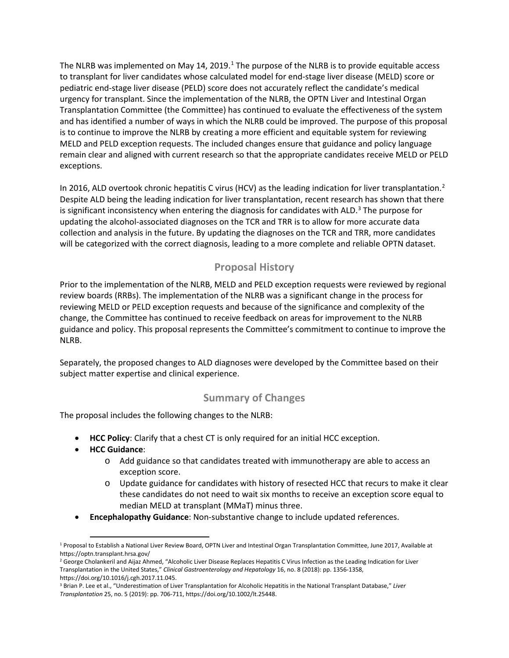The NLRB was implemented on May [1](#page-1-0)4, 2019.<sup>1</sup> The purpose of the NLRB is to provide equitable access to transplant for liver candidates whose calculated model for end-stage liver disease (MELD) score or pediatric end-stage liver disease (PELD) score does not accurately reflect the candidate's medical urgency for transplant. Since the implementation of the NLRB, the OPTN Liver and Intestinal Organ Transplantation Committee (the Committee) has continued to evaluate the effectiveness of the system and has identified a number of ways in which the NLRB could be improved. The purpose of this proposal is to continue to improve the NLRB by creating a more efficient and equitable system for reviewing MELD and PELD exception requests. The included changes ensure that guidance and policy language remain clear and aligned with current research so that the appropriate candidates receive MELD or PELD exceptions.

In [2](#page-1-1)016, ALD overtook chronic hepatitis C virus (HCV) as the leading indication for liver transplantation.<sup>2</sup> Despite ALD being the leading indication for liver transplantation, recent research has shown that there is significant inconsistency when entering the diagnosis for candidates with ALD. $3$  The purpose for updating the alcohol-associated diagnoses on the TCR and TRR is to allow for more accurate data collection and analysis in the future. By updating the diagnoses on the TCR and TRR, more candidates will be categorized with the correct diagnosis, leading to a more complete and reliable OPTN dataset.

## **Proposal History**

Prior to the implementation of the NLRB, MELD and PELD exception requests were reviewed by regional review boards (RRBs). The implementation of the NLRB was a significant change in the process for reviewing MELD or PELD exception requests and because of the significance and complexity of the change, the Committee has continued to receive feedback on areas for improvement to the NLRB guidance and policy. This proposal represents the Committee's commitment to continue to improve the NLRB.

Separately, the proposed changes to ALD diagnoses were developed by the Committee based on their subject matter expertise and clinical experience.

## **Summary of Changes**

The proposal includes the following changes to the NLRB:

- **HCC Policy**: Clarify that a chest CT is only required for an initial HCC exception.
- **HCC Guidance**:
	- o Add guidance so that candidates treated with immunotherapy are able to access an exception score.
	- o Update guidance for candidates with history of resected HCC that recurs to make it clear these candidates do not need to wait six months to receive an exception score equal to median MELD at transplant (MMaT) minus three.
- **Encephalopathy Guidance**: Non-substantive change to include updated references.

<span id="page-1-0"></span> <sup>1</sup> Proposal to Establish a National Liver Review Board, OPTN Liver and Intestinal Organ Transplantation Committee, June 2017, Available at https://optn.transplant.hrsa.gov/

<span id="page-1-1"></span><sup>&</sup>lt;sup>2</sup> George Cholankeril and Aijaz Ahmed, "Alcoholic Liver Disease Replaces Hepatitis C Virus Infection as the Leading Indication for Liver Transplantation in the United States," *Clinical Gastroenterology and Hepatology* 16, no. 8 (2018): pp. 1356-1358, https://doi.org/10.1016/j.cgh.2017.11.045.

<span id="page-1-2"></span><sup>3</sup> Brian P. Lee et al., "Underestimation of Liver Transplantation for Alcoholic Hepatitis in the National Transplant Database," *Liver Transplantation* 25, no. 5 (2019): pp. 706-711, https://doi.org/10.1002/lt.25448.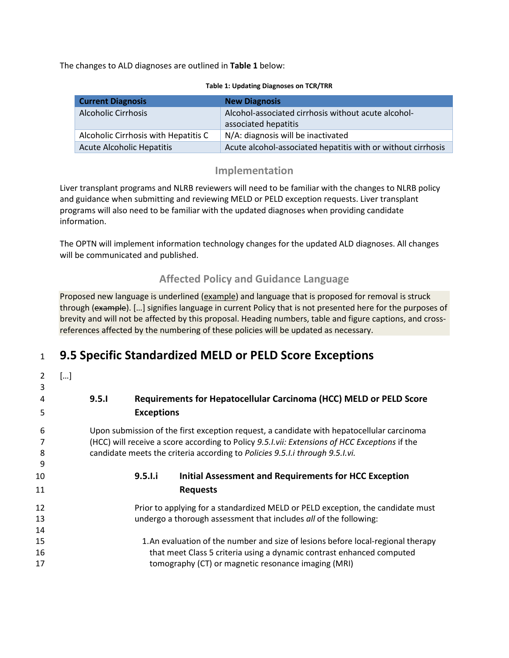The changes to ALD diagnoses are outlined in **Table 1** below:

| <b>Current Diagnosis</b>             | <b>New Diagnosis</b>                                                        |
|--------------------------------------|-----------------------------------------------------------------------------|
| <b>Alcoholic Cirrhosis</b>           | Alcohol-associated cirrhosis without acute alcohol-<br>associated hepatitis |
| Alcoholic Cirrhosis with Hepatitis C | N/A: diagnosis will be inactivated                                          |
| Acute Alcoholic Hepatitis            | Acute alcohol-associated hepatitis with or without cirrhosis                |

#### **Table 1: Updating Diagnoses on TCR/TRR**

### **Implementation**

Liver transplant programs and NLRB reviewers will need to be familiar with the changes to NLRB policy and guidance when submitting and reviewing MELD or PELD exception requests. Liver transplant programs will also need to be familiar with the updated diagnoses when providing candidate information.

The OPTN will implement information technology changes for the updated ALD diagnoses. All changes will be communicated and published.

## **Affected Policy and Guidance Language**

Proposed new language is underlined (example) and language that is proposed for removal is struck through (example). […] signifies language in current Policy that is not presented here for the purposes of brevity and will not be affected by this proposal. Heading numbers, table and figure captions, and crossreferences affected by the numbering of these policies will be updated as necessary.

## <sup>1</sup>**9.5 Specific Standardized MELD or PELD Score Exceptions**

| 3  | [] |                                                                                                       |
|----|----|-------------------------------------------------------------------------------------------------------|
| 4  |    | Requirements for Hepatocellular Carcinoma (HCC) MELD or PELD Score<br>9.5.1                           |
| 5  |    | <b>Exceptions</b>                                                                                     |
| 6  |    | Upon submission of the first exception request, a candidate with hepatocellular carcinoma             |
|    |    | (HCC) will receive a score according to Policy 9.5. <i>I.vii: Extensions of HCC Exceptions</i> if the |
| 8  |    | candidate meets the criteria according to Policies 9.5.1.i through 9.5.1.vi.                          |
| 9  |    |                                                                                                       |
| 10 |    | <b>Initial Assessment and Requirements for HCC Exception</b><br>9.5.1.1                               |
| 11 |    | <b>Requests</b>                                                                                       |
| 12 |    | Prior to applying for a standardized MELD or PELD exception, the candidate must                       |
| 13 |    | undergo a thorough assessment that includes all of the following:                                     |
| 14 |    |                                                                                                       |
| 15 |    | 1. An evaluation of the number and size of lesions before local-regional therapy                      |
| 16 |    | that meet Class 5 criteria using a dynamic contrast enhanced computed                                 |
| 17 |    | tomography (CT) or magnetic resonance imaging (MRI)                                                   |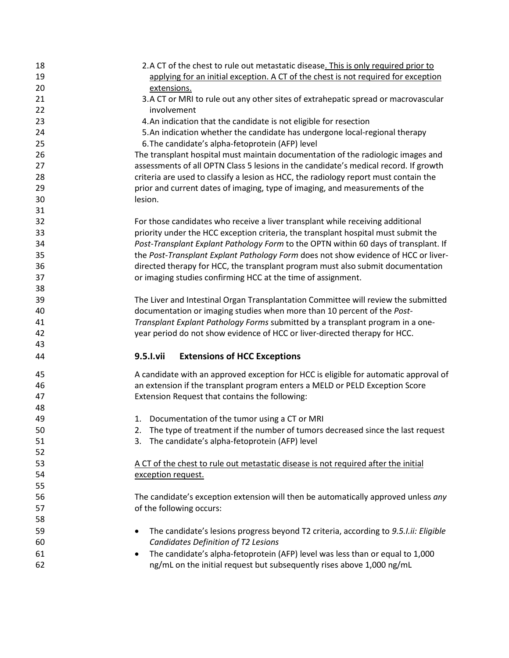| 18 | 2.A CT of the chest to rule out metastatic disease. This is only required prior to                |
|----|---------------------------------------------------------------------------------------------------|
| 19 | applying for an initial exception. A CT of the chest is not required for exception                |
| 20 | extensions.                                                                                       |
| 21 | 3.A CT or MRI to rule out any other sites of extrahepatic spread or macrovascular                 |
| 22 | involvement                                                                                       |
| 23 | 4. An indication that the candidate is not eligible for resection                                 |
| 24 | 5. An indication whether the candidate has undergone local-regional therapy                       |
| 25 | 6. The candidate's alpha-fetoprotein (AFP) level                                                  |
| 26 | The transplant hospital must maintain documentation of the radiologic images and                  |
| 27 | assessments of all OPTN Class 5 lesions in the candidate's medical record. If growth              |
| 28 | criteria are used to classify a lesion as HCC, the radiology report must contain the              |
| 29 | prior and current dates of imaging, type of imaging, and measurements of the                      |
| 30 | lesion.                                                                                           |
| 31 |                                                                                                   |
| 32 | For those candidates who receive a liver transplant while receiving additional                    |
| 33 | priority under the HCC exception criteria, the transplant hospital must submit the                |
| 34 | Post-Transplant Explant Pathology Form to the OPTN within 60 days of transplant. If               |
| 35 | the Post-Transplant Explant Pathology Form does not show evidence of HCC or liver-                |
| 36 | directed therapy for HCC, the transplant program must also submit documentation                   |
| 37 | or imaging studies confirming HCC at the time of assignment.                                      |
| 38 |                                                                                                   |
| 39 | The Liver and Intestinal Organ Transplantation Committee will review the submitted                |
| 40 | documentation or imaging studies when more than 10 percent of the Post-                           |
| 41 | Transplant Explant Pathology Forms submitted by a transplant program in a one-                    |
| 42 | year period do not show evidence of HCC or liver-directed therapy for HCC.                        |
| 43 |                                                                                                   |
| 44 | 9.5.I.vii<br><b>Extensions of HCC Exceptions</b>                                                  |
| 45 | A candidate with an approved exception for HCC is eligible for automatic approval of              |
| 46 | an extension if the transplant program enters a MELD or PELD Exception Score                      |
| 47 | Extension Request that contains the following:                                                    |
| 48 |                                                                                                   |
| 49 | 1. Documentation of the tumor using a CT or MRI                                                   |
| 50 | The type of treatment if the number of tumors decreased since the last request                    |
| 51 | The candidate's alpha-fetoprotein (AFP) level<br>3.                                               |
| 52 |                                                                                                   |
| 53 | A CT of the chest to rule out metastatic disease is not required after the initial                |
| 54 | exception request.                                                                                |
| 55 |                                                                                                   |
| 56 | The candidate's exception extension will then be automatically approved unless any                |
| 57 | of the following occurs:                                                                          |
| 58 |                                                                                                   |
| 59 | The candidate's lesions progress beyond T2 criteria, according to 9.5.I.ii: Eligible<br>$\bullet$ |
| 60 | Candidates Definition of T2 Lesions                                                               |
| 61 | The candidate's alpha-fetoprotein (AFP) level was less than or equal to 1,000<br>٠                |
| 62 | ng/mL on the initial request but subsequently rises above 1,000 ng/mL                             |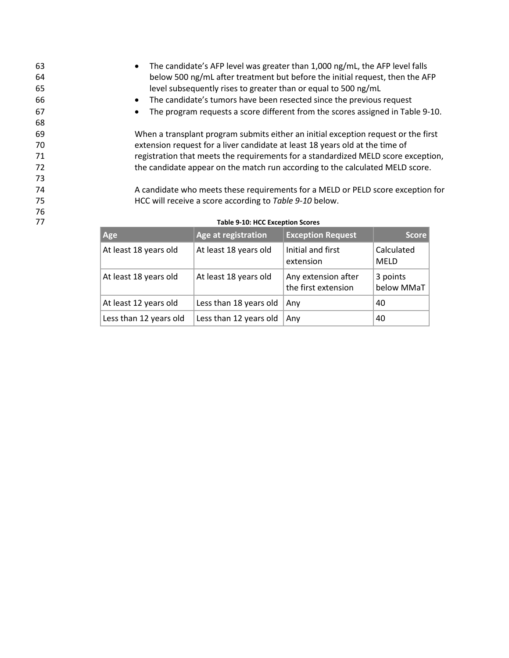• The candidate's AFP level was greater than 1,000 ng/mL, the AFP level falls below 500 ng/mL after treatment but before the initial request, then the AFP level subsequently rises to greater than or equal to 500 ng/mL • The candidate's tumors have been resected since the previous request • The program requests a score different from the scores assigned in Table 9-10. 68 When a transplant program submits either an initial exception request or the first extension request for a liver candidate at least 18 years old at the time of registration that meets the requirements for a standardized MELD score exception, the candidate appear on the match run according to the calculated MELD score. 73 A candidate who meets these requirements for a MELD or PELD score exception for HCC will receive a score according to *Table 9-10* below. 76

| Age                    | Age at registration    | <b>Exception Request</b>                   | <b>Score</b>              |
|------------------------|------------------------|--------------------------------------------|---------------------------|
| At least 18 years old  | At least 18 years old  | Initial and first<br>extension             | Calculated<br><b>MELD</b> |
| At least 18 years old  | At least 18 years old  | Any extension after<br>the first extension | 3 points<br>below MMaT    |
| At least 12 years old  | Less than 18 years old | Any                                        | 40                        |
| Less than 12 years old | Less than 12 years old | Any                                        | 40                        |

#### 77 **Table 9-10: HCC Exception Scores**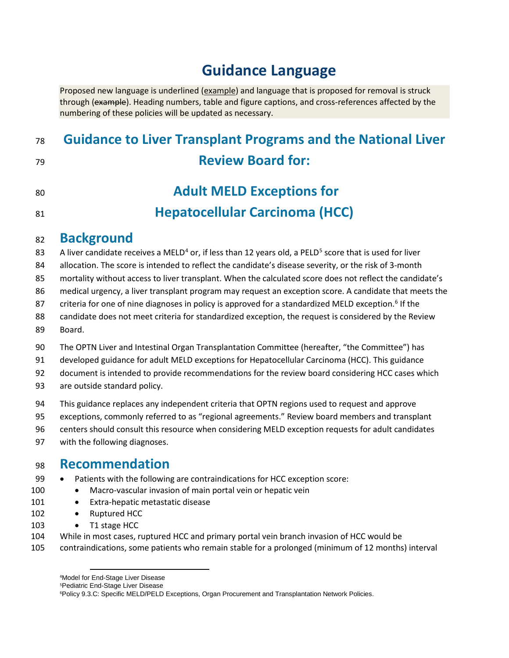# **Guidance Language**

Proposed new language is underlined (example) and language that is proposed for removal is struck through (example). Heading numbers, table and figure captions, and cross-references affected by the numbering of these policies will be updated as necessary.

## **Guidance to Liver Transplant Programs and the National Liver Review Board for:**

## **Adult MELD Exceptions for Hepatocellular Carcinoma (HCC)**

## **Background**

83 A liver candidate receives a MELD<sup>[4](#page-5-0)</sup> or, if less than 12 years old, a PELD<sup>[5](#page-5-1)</sup> score that is used for liver

allocation. The score is intended to reflect the candidate's disease severity, or the risk of 3-month

mortality without access to liver transplant. When the calculated score does not reflect the candidate's

medical urgency, a liver transplant program may request an exception score. A candidate that meets the

87 criteria for one of nine diagnoses in policy is approved for a standardized MELD exception.<sup>[6](#page-5-2)</sup> If the

 candidate does not meet criteria for standardized exception, the request is considered by the Review Board.

- 90 The OPTN Liver and Intestinal Organ Transplantation Committee (hereafter, "the Committee") has
- developed guidance for adult MELD exceptions for Hepatocellular Carcinoma (HCC). This guidance

document is intended to provide recommendations for the review board considering HCC cases which

are outside standard policy.

This guidance replaces any independent criteria that OPTN regions used to request and approve

exceptions, commonly referred to as "regional agreements." Review board members and transplant

centers should consult this resource when considering MELD exception requests for adult candidates

with the following diagnoses.

## **Recommendation**

99 • Patients with the following are contraindications for HCC exception score:

100 • Macro-vascular invasion of main portal vein or hepatic vein

- 101 Extra-hepatic metastatic disease
- 102 Ruptured HCC
- 103 T1 stage HCC

While in most cases, ruptured HCC and primary portal vein branch invasion of HCC would be

<span id="page-5-2"></span><span id="page-5-1"></span><span id="page-5-0"></span>contraindications, some patients who remain stable for a prolonged (minimum of 12 months) interval

Pediatric End-Stage Liver Disease

Policy 9.3.C: Specific MELD/PELD Exceptions, Organ Procurement and Transplantation Network Policies.

Model for End-Stage Liver Disease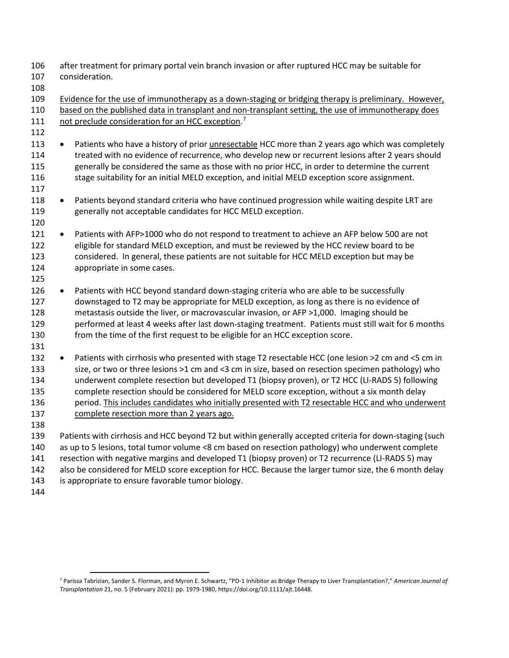- after treatment for primary portal vein branch invasion or after ruptured HCC may be suitable for consideration.
- 
- 109 Evidence for the use of immunotherapy as a down-staging or bridging therapy is preliminary. However, based on the published data in transplant and non-transplant setting, the use of immunotherapy does 111 not preclude consideration for an HCC exception.<sup>[7](#page-6-0)</sup>
- 

- Patients who have a history of prior unresectable HCC more than 2 years ago which was completely treated with no evidence of recurrence, who develop new or recurrent lesions after 2 years should generally be considered the same as those with no prior HCC, in order to determine the current 116 stage suitability for an initial MELD exception, and initial MELD exception score assignment.
- 118 Patients beyond standard criteria who have continued progression while waiting despite LRT are generally not acceptable candidates for HCC MELD exception.
- Patients with AFP>1000 who do not respond to treatment to achieve an AFP below 500 are not eligible for standard MELD exception, and must be reviewed by the HCC review board to be considered. In general, these patients are not suitable for HCC MELD exception but may be appropriate in some cases.
- 126 Patients with HCC beyond standard down-staging criteria who are able to be successfully downstaged to T2 may be appropriate for MELD exception, as long as there is no evidence of metastasis outside the liver, or macrovascular invasion, or AFP >1,000. Imaging should be performed at least 4 weeks after last down-staging treatment. Patients must still wait for 6 months from the time of the first request to be eligible for an HCC exception score.
- • Patients with cirrhosis who presented with stage T2 resectable HCC (one lesion >2 cm and <5 cm in size, or two or three lesions >1 cm and <3 cm in size, based on resection specimen pathology) who underwent complete resection but developed T1 (biopsy proven), or T2 HCC (LI-RADS 5) following complete resection should be considered for MELD score exception, without a six month delay period. This includes candidates who initially presented with T2 resectable HCC and who underwent complete resection more than 2 years ago.
- 

 Patients with cirrhosis and HCC beyond T2 but within generally accepted criteria for down-staging (such as up to 5 lesions, total tumor volume <8 cm based on resection pathology) who underwent complete resection with negative margins and developed T1 (biopsy proven) or T2 recurrence (LI-RADS 5) may

- also be considered for MELD score exception for HCC. Because the larger tumor size, the 6 month delay
- is appropriate to ensure favorable tumor biology.
- 

<span id="page-6-0"></span> Parissa Tabrizian, Sander S. Florman, and Myron E. Schwartz, "PD-1 Inhibitor as Bridge Therapy to Liver Transplantation?," *American Journal of Transplantation* 21, no. 5 (February 2021): pp. 1979-1980, https://doi.org/10.1111/ajt.16448.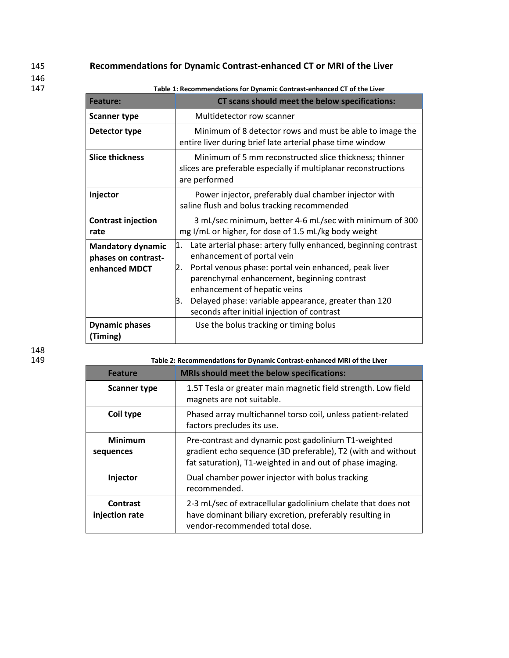### 145 **Recommendations for Dynamic Contrast-enhanced CT or MRI of the Liver**

146<br>147

147 **Table 1: Recommendations for Dynamic Contrast-enhanced CT of the Liver**

| <b>Feature:</b>                                                  | CT scans should meet the below specifications:                                                                                                                                                                                                                                                                                                          |
|------------------------------------------------------------------|---------------------------------------------------------------------------------------------------------------------------------------------------------------------------------------------------------------------------------------------------------------------------------------------------------------------------------------------------------|
| <b>Scanner type</b>                                              | Multidetector row scanner                                                                                                                                                                                                                                                                                                                               |
| Detector type                                                    | Minimum of 8 detector rows and must be able to image the<br>entire liver during brief late arterial phase time window                                                                                                                                                                                                                                   |
| <b>Slice thickness</b>                                           | Minimum of 5 mm reconstructed slice thickness; thinner<br>slices are preferable especially if multiplanar reconstructions<br>are performed                                                                                                                                                                                                              |
| Injector                                                         | Power injector, preferably dual chamber injector with<br>saline flush and bolus tracking recommended                                                                                                                                                                                                                                                    |
| <b>Contrast injection</b><br>rate                                | 3 mL/sec minimum, better 4-6 mL/sec with minimum of 300<br>mg I/mL or higher, for dose of 1.5 mL/kg body weight                                                                                                                                                                                                                                         |
| <b>Mandatory dynamic</b><br>phases on contrast-<br>enhanced MDCT | Late arterial phase: artery fully enhanced, beginning contrast<br>1.<br>enhancement of portal vein<br>Portal venous phase: portal vein enhanced, peak liver<br>parenchymal enhancement, beginning contrast<br>enhancement of hepatic veins<br>Delayed phase: variable appearance, greater than 120<br>в.<br>seconds after initial injection of contrast |
| <b>Dynamic phases</b><br>(Timing)                                | Use the bolus tracking or timing bolus                                                                                                                                                                                                                                                                                                                  |

148<br>149

Table 2: Recommendations for Dynamic Contrast-enhanced MRI of the Liver

| <b>Feature</b>                    | <b>MRIs should meet the below specifications:</b>                                                                                                                                 |
|-----------------------------------|-----------------------------------------------------------------------------------------------------------------------------------------------------------------------------------|
| Scanner type                      | 1.5T Tesla or greater main magnetic field strength. Low field<br>magnets are not suitable.                                                                                        |
| Coil type                         | Phased array multichannel torso coil, unless patient-related<br>factors precludes its use.                                                                                        |
| <b>Minimum</b><br>sequences       | Pre-contrast and dynamic post gadolinium T1-weighted<br>gradient echo sequence (3D preferable), T2 (with and without<br>fat saturation), T1-weighted in and out of phase imaging. |
| Injector                          | Dual chamber power injector with bolus tracking<br>recommended.                                                                                                                   |
| <b>Contrast</b><br>injection rate | 2-3 mL/sec of extracellular gadolinium chelate that does not<br>have dominant biliary excretion, preferably resulting in<br>vendor-recommended total dose.                        |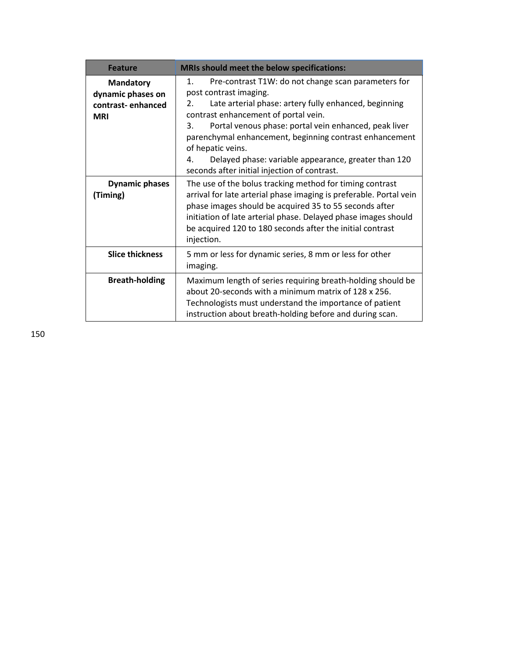| <b>Feature</b>                                                           | <b>MRIs should meet the below specifications:</b>                                                                                                                                                                                                                                                                                                                                                                                                       |
|--------------------------------------------------------------------------|---------------------------------------------------------------------------------------------------------------------------------------------------------------------------------------------------------------------------------------------------------------------------------------------------------------------------------------------------------------------------------------------------------------------------------------------------------|
| <b>Mandatory</b><br>dynamic phases on<br>contrast-enhanced<br><b>MRI</b> | 1.<br>Pre-contrast T1W: do not change scan parameters for<br>post contrast imaging.<br>Late arterial phase: artery fully enhanced, beginning<br>2.<br>contrast enhancement of portal vein.<br>Portal venous phase: portal vein enhanced, peak liver<br>3.<br>parenchymal enhancement, beginning contrast enhancement<br>of hepatic veins.<br>Delayed phase: variable appearance, greater than 120<br>4.<br>seconds after initial injection of contrast. |
| <b>Dynamic phases</b><br>(Timing)                                        | The use of the bolus tracking method for timing contrast<br>arrival for late arterial phase imaging is preferable. Portal vein<br>phase images should be acquired 35 to 55 seconds after<br>initiation of late arterial phase. Delayed phase images should<br>be acquired 120 to 180 seconds after the initial contrast<br>injection.                                                                                                                   |
| <b>Slice thickness</b>                                                   | 5 mm or less for dynamic series, 8 mm or less for other<br>imaging.                                                                                                                                                                                                                                                                                                                                                                                     |
| <b>Breath-holding</b>                                                    | Maximum length of series requiring breath-holding should be<br>about 20-seconds with a minimum matrix of 128 x 256.<br>Technologists must understand the importance of patient<br>instruction about breath-holding before and during scan.                                                                                                                                                                                                              |

150